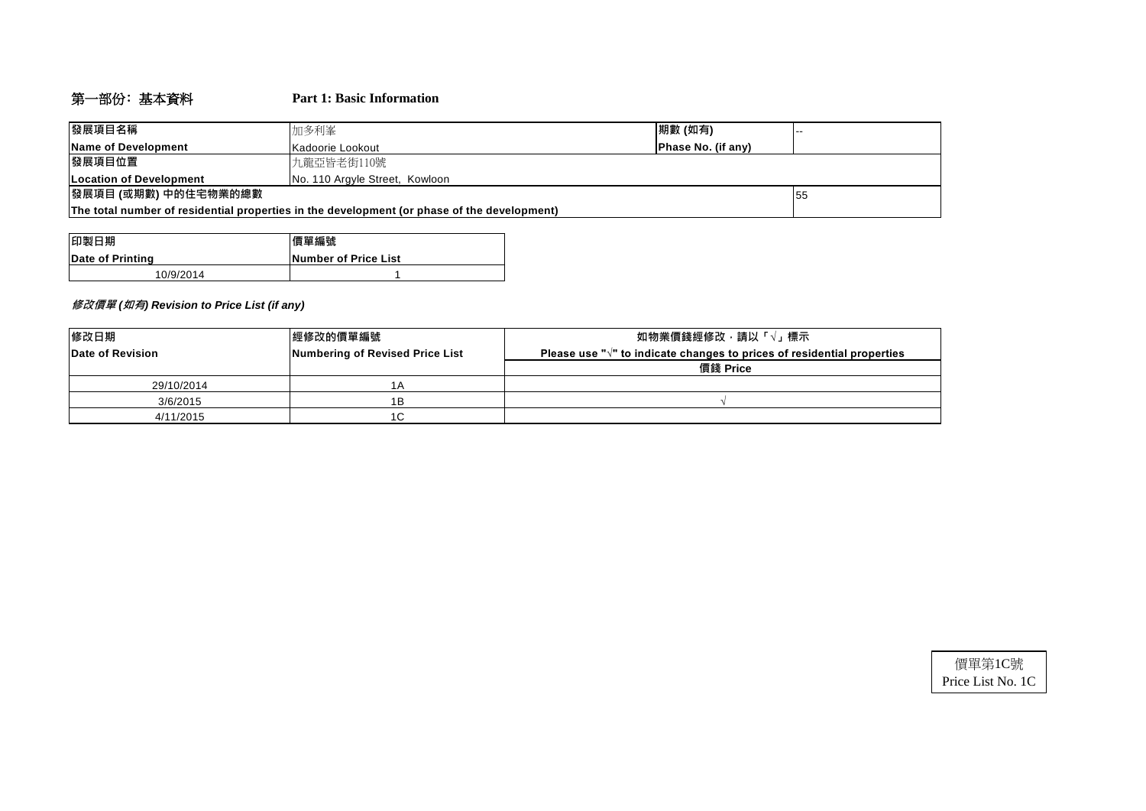## 第一部份﹕基本資料 **Part 1: Basic Information**

| 發展項目名稱                                                                                      | 期數 (如有)<br>加多利峯                                       |  |  |  |  |  |  |
|---------------------------------------------------------------------------------------------|-------------------------------------------------------|--|--|--|--|--|--|
| Name of Development                                                                         | <b>Phase No. (if any)</b><br><b>IKadoorie Lookout</b> |  |  |  |  |  |  |
| 發展項目位置                                                                                      | 九龍亞皆老街110號                                            |  |  |  |  |  |  |
| <b>ILocation of Development</b>                                                             | No. 110 Argyle Street, Kowloon                        |  |  |  |  |  |  |
| 發展項目 (或期數) 中的住宅物業的總數                                                                        | 155                                                   |  |  |  |  |  |  |
| The total number of residential properties in the development (or phase of the development) |                                                       |  |  |  |  |  |  |

| 印製日期             | 價單編號                         |
|------------------|------------------------------|
| Date of Printing | <b>INumber of Price List</b> |
| 10/9/2014        |                              |

#### **修改價單** *(***如有***) Revision to Price List (if any)*

| 修改日期             | <b> 經修改的價單編號</b>                | 如物業價錢經修改‧請以「√」標示                                                                  |
|------------------|---------------------------------|-----------------------------------------------------------------------------------|
| Date of Revision | Numbering of Revised Price List | Please use " $\sqrt{ }$ " to indicate changes to prices of residential properties |
|                  |                                 | 價錢 Price                                                                          |
| 29/10/2014       | 1 A                             |                                                                                   |
| 3/6/2015         | 1Β                              |                                                                                   |
| 4/11/2015        | 1C                              |                                                                                   |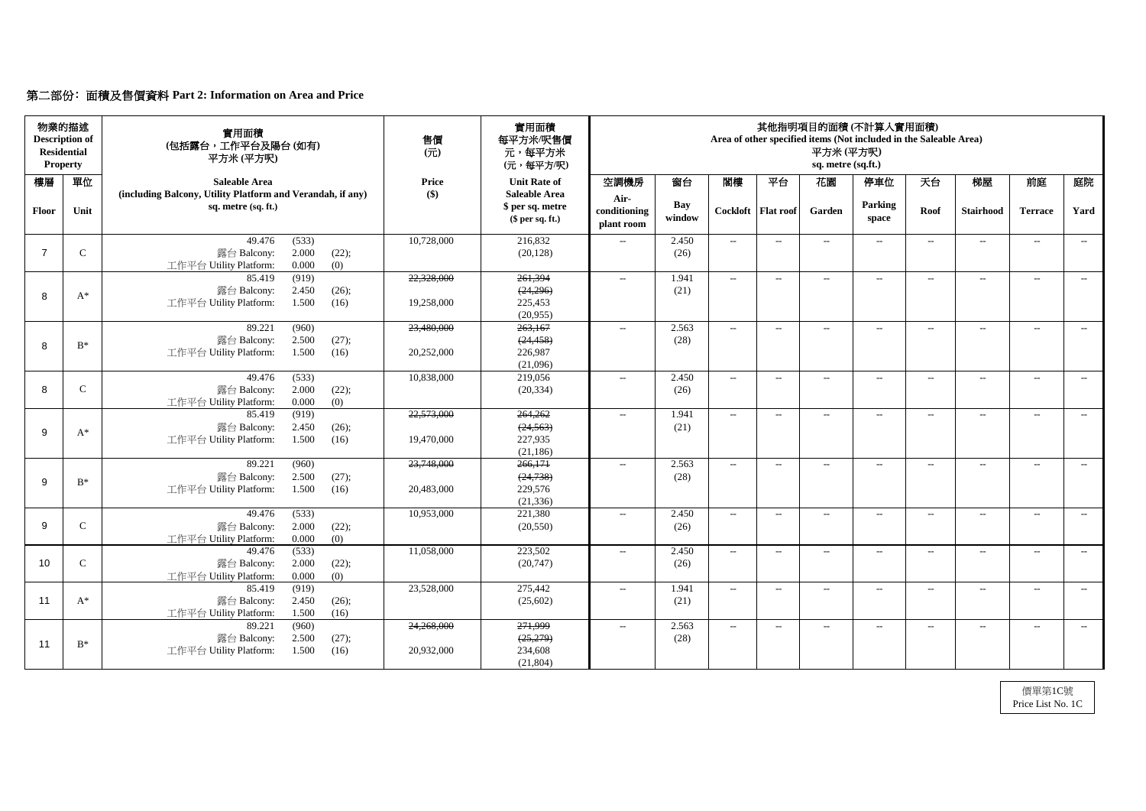# 第二部份﹕面積及售價資料 **Part 2: Information on Area and Price**

| 前庭<br>庭院<br>Yard<br><b>Terrace</b><br>$--$<br>$--$ |
|----------------------------------------------------|
|                                                    |
|                                                    |
|                                                    |
| $  \,$<br>$--$                                     |
|                                                    |
| $--$<br>$---$                                      |
|                                                    |
| $--$<br>$---$                                      |
|                                                    |
| $--$<br>$---$                                      |
|                                                    |
| $--$<br>$--$                                       |
|                                                    |
|                                                    |
| $--$<br>$--$                                       |
|                                                    |
|                                                    |
| $ -$<br>$--$                                       |
|                                                    |
| $\mathcal{L}_{\mathcal{F}}$<br>$--$                |
|                                                    |
| $--$<br>$--$                                       |
|                                                    |
|                                                    |
|                                                    |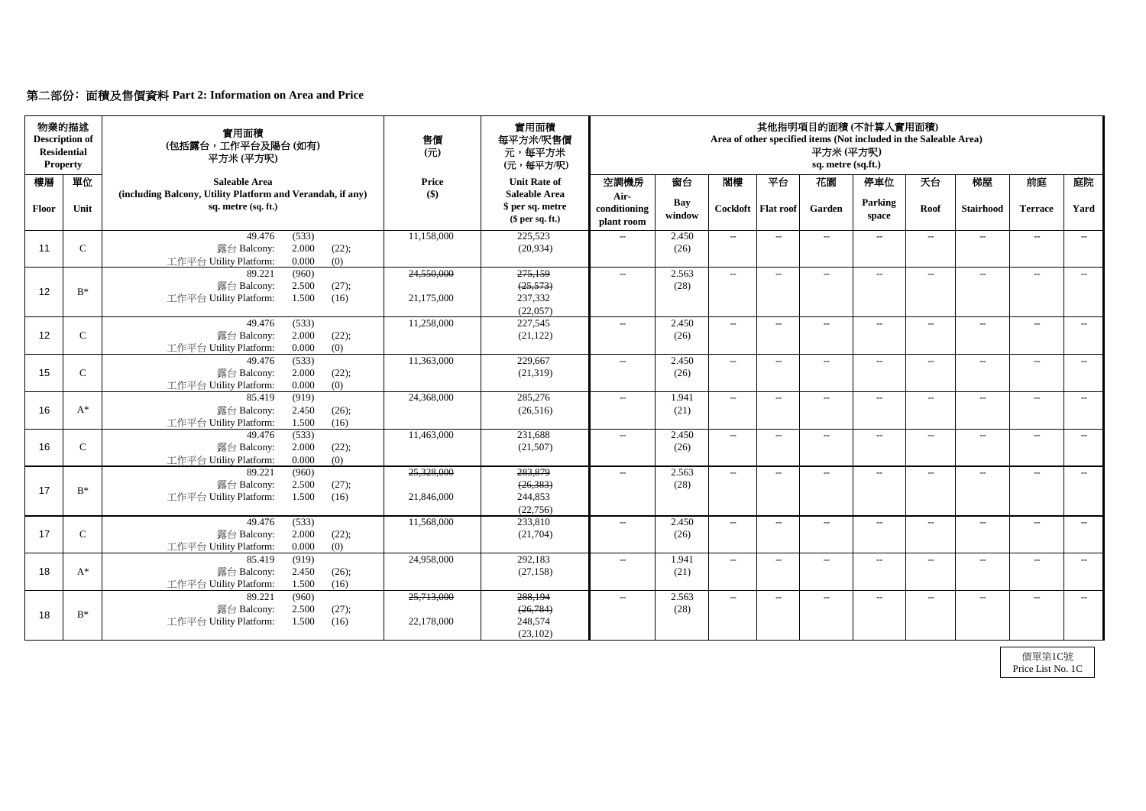|  | 第二部份: 面積及售價資料 Part 2: Information on Area and Price |  |  |  |  |
|--|-----------------------------------------------------|--|--|--|--|
|--|-----------------------------------------------------|--|--|--|--|

| 物業的描述<br><b>Description of</b><br><b>Residential</b><br><b>Property</b> |               | 實用面積<br>(包括露台,工作平台及陽台(如有)<br>平方米(平方呎)                                                       | 售價<br>$(\overrightarrow{\pi})$ | 實用面積<br>每平方米/呎售價<br>元,每平方米<br>(元,每平方/呎)                    | 其他指明項目的面積(不計算入實用面積)<br>Area of other specified items (Not included in the Saleable Area)<br>平方米(平方呎)<br>sq. metre (sq.ft.) |               |        |                      |                          |                          |       |                  |                |       |
|-------------------------------------------------------------------------|---------------|---------------------------------------------------------------------------------------------|--------------------------------|------------------------------------------------------------|----------------------------------------------------------------------------------------------------------------------------|---------------|--------|----------------------|--------------------------|--------------------------|-------|------------------|----------------|-------|
| 樓層                                                                      | 單位            | <b>Saleable Area</b>                                                                        | <b>Price</b>                   | <b>Unit Rate of</b>                                        | 空調機房                                                                                                                       | 窗台            | 閣樓     | 平台                   | 花園                       | 停車位                      | 天台    | 梯屋               | 前庭             | 庭院    |
| Floor                                                                   | Unit          | (including Balcony, Utility Platform and Verandah, if any)<br>sq. metre (sq. ft.)           | $\left( \text{\$}\right)$      | <b>Saleable Area</b><br>\$ per sq. metre<br>\$per sq. ft.) | Air-<br>conditioning<br>plant room                                                                                         | Bay<br>window |        | Cockloft   Flat roof | Garden                   | <b>Parking</b><br>space  | Roof  | <b>Stairhood</b> | <b>Terrace</b> | Yard  |
| 11                                                                      | $\mathcal{C}$ | (533)<br>49.476<br>2.000<br>露台 Balcony:<br>(22);<br>(0)<br>0.000<br>工作平台 Utility Platform:  | 11,158,000                     | 225,523<br>(20, 934)                                       | $---$                                                                                                                      | 2.450<br>(26) | $\sim$ | $--$                 | $--$                     | $---$                    | $--$  | $---$            | $---$          | $---$ |
| 12                                                                      | $B^*$         | 89.221<br>(960)<br>2.500<br>(27);<br>露台 Balcony:<br>1.500<br>(16)<br>工作平台 Utility Platform: | 24,550,000<br>21,175,000       | 275,159<br>(25, 573)<br>237,332<br>(22,057)                | $\mathcal{L}_{\mathcal{L}}$                                                                                                | 2.563<br>(28) | $-$    | $--$                 | $--$                     | $\overline{\phantom{a}}$ | $--$  | $---$            | $---$          | $---$ |
| 12                                                                      | $\mathsf{C}$  | 49.476<br>(533)<br>2.000<br>(22);<br>露台 Balcony:<br>0.000<br>(0)<br>工作平台 Utility Platform:  | 11,258,000                     | 227,545<br>(21, 122)                                       | $---$                                                                                                                      | 2.450<br>(26) | $-$    | $--$                 | $\overline{\phantom{a}}$ | $\overline{\phantom{a}}$ | $---$ | $--$             | $---$          | $--$  |
| 15                                                                      | $\mathcal{C}$ | (533)<br>49.476<br>2.000<br>(22);<br>露台 Balcony:<br>0.000<br>(0)<br>工作平台 Utility Platform:  | 11,363,000                     | 229,667<br>(21,319)                                        | $- -$                                                                                                                      | 2.450<br>(26) | $--$   | $--$                 | $\qquad \qquad -$        | $--$                     | $--$  | $--$             | $--$           | $---$ |
| 16                                                                      | $A^*$         | (919)<br>85.419<br>2.450<br>(26);<br>露台 Balcony:<br>工作平台 Utility Platform:<br>1.500<br>(16) | 24,368,000                     | 285,276<br>(26,516)                                        | $-$                                                                                                                        | 1.941<br>(21) | $--$   | $--$                 | $\overline{\phantom{a}}$ | $\overline{\phantom{a}}$ | $--$  | $- -$            | $--$           | $--$  |
| 16                                                                      | $\mathcal{C}$ | (533)<br>49.476<br>2.000<br>露台 Balcony:<br>(22);<br>0.000<br>(0)<br>工作平台 Utility Platform:  | 11,463,000                     | 231,688<br>(21,507)                                        | $\mathcal{L}_{\mathcal{L}}$                                                                                                | 2.450<br>(26) | $  \,$ | $--$                 | $--$                     | $--$                     | $---$ | $--$             | $--$           | $---$ |
| 17                                                                      | $B^*$         | (960)<br>89.221<br>露台 Balcony:<br>(27);<br>2.500<br>工作平台 Utility Platform:<br>1.500<br>(16) | 25,328,000<br>21,846,000       | 283,879<br>(26, 383)<br>244,853<br>(22, 756)               | $--$                                                                                                                       | 2.563<br>(28) | $\sim$ | $--$                 | $--$                     | $--$                     | $---$ | $--$             | $--$           | $---$ |
| 17                                                                      | $\mathsf{C}$  | 49.476<br>(533)<br>2.000<br>露台 Balcony:<br>(22);<br>工作平台 Utility Platform:<br>0.000<br>(0)  | 11,568,000                     | 233,810<br>(21,704)                                        | $--$                                                                                                                       | 2.450<br>(26) | $--$   | $--$                 | $\overline{\phantom{a}}$ | $---$                    | $--$  | $--$             | $--$           | $--$  |
| 18                                                                      | $A^*$         | 85.419<br>(919)<br>2.450<br>露台 Balcony:<br>(26);<br>工作平台 Utility Platform:<br>1.500<br>(16) | 24,958,000                     | 292,183<br>(27, 158)                                       | $- -$                                                                                                                      | 1.941<br>(21) | $--$   | $--$                 | $--$                     | $\overline{\phantom{m}}$ | $--$  | $--$             | $--$           | $--$  |
| 18                                                                      | $B^*$         | 89.221<br>(960)<br>露台 Balcony:<br>2.500<br>(27);<br>工作平台 Utility Platform:<br>1.500<br>(16) | 25,713,000<br>22,178,000       | 288,194<br>(26, 784)<br>248,574<br>(23,102)                | $--$                                                                                                                       | 2.563<br>(28) | $--$   | $--$                 | $--$                     | $--$                     | $--$  | $--$             | $--$           | $--$  |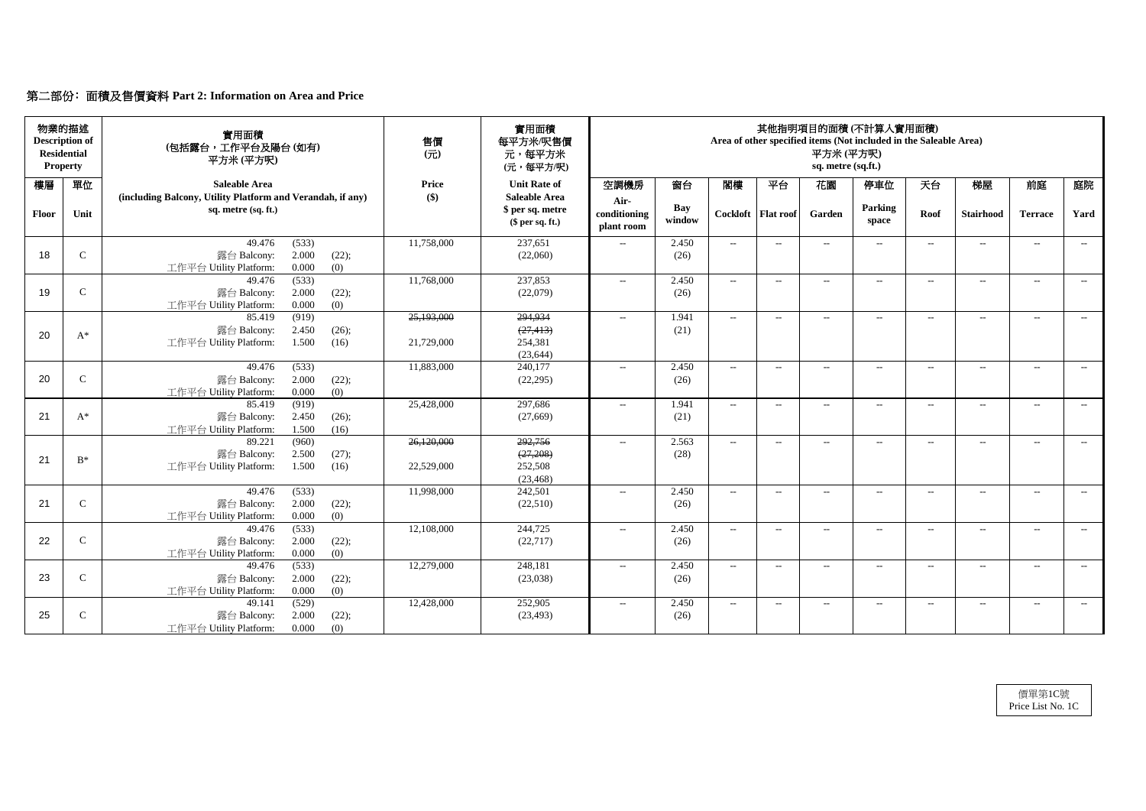# 第二部份﹕面積及售價資料 **Part 2: Information on Area and Price**

| 物業的描述<br><b>Description of</b><br><b>Residential</b><br><b>Property</b> |              | 實用面積<br>(包括露台,工作平台及陽台(如有)<br>平方米 (平方呎)                                            | 售價<br>$($ $\overrightarrow{\pi}$ $)$ | 實用面積<br>每平方米/呎售價<br>元,每平方米<br>(元,每平方/呎)                    | 其他指明項目的面積(不計算入實用面積)<br>Area of other specified items (Not included in the Saleable Area)<br>平方米(平方呎)<br>sq. metre (sq.ft.) |                      |        |                      |                          |                          |        |                   |                          |       |
|-------------------------------------------------------------------------|--------------|-----------------------------------------------------------------------------------|--------------------------------------|------------------------------------------------------------|----------------------------------------------------------------------------------------------------------------------------|----------------------|--------|----------------------|--------------------------|--------------------------|--------|-------------------|--------------------------|-------|
| 樓層                                                                      | 單位           | <b>Saleable Area</b>                                                              | <b>Price</b>                         | <b>Unit Rate of</b>                                        | 空調機房                                                                                                                       | 窗台                   | 閣樓     | 平台                   | 花園                       | 停車位                      | 天台     | 梯屋                | 前庭                       | 庭院    |
| <b>Floor</b>                                                            | Unit         | (including Balcony, Utility Platform and Verandah, if any)<br>sq. metre (sq. ft.) | $\left( \text{\$}\right)$            | <b>Saleable Area</b><br>\$ per sq. metre<br>\$per sq. ft.) | Air-<br>conditioning<br>plant room                                                                                         | <b>Bay</b><br>window |        | Cockloft   Flat roof | Garden                   | Parking<br>space         | Roof   | <b>Stairhood</b>  | <b>Terrace</b>           | Yard  |
|                                                                         |              | 49.476<br>(533)                                                                   | 11,758,000                           | 237,651                                                    | $- -$                                                                                                                      | 2.450                | $--$   | $--$                 | $\qquad \qquad -$        | $--$                     | $---$  | $\qquad \qquad -$ | $--$                     | $--$  |
| 18                                                                      | $\mathbf C$  | 2.000<br>露台 Balcony:<br>(22);<br>0.000<br>工作平台 Utility Platform:<br>(0)           |                                      | (22,060)                                                   |                                                                                                                            | (26)                 |        |                      |                          |                          |        |                   |                          |       |
|                                                                         |              | (533)<br>49.476                                                                   | 11,768,000                           | 237,853                                                    | $\mathcal{L}_{\mathcal{L}}$                                                                                                | 2.450                | $--$   | $--$                 | $--$                     | $ -$                     | $---$  | $---$             | $--$                     | $--$  |
| 19                                                                      | $\mathbf C$  | 2.000<br>(22);<br>露台 Balcony:                                                     |                                      | (22,079)                                                   |                                                                                                                            | (26)                 |        |                      |                          |                          |        |                   |                          |       |
|                                                                         |              | 工作平台 Utility Platform:<br>0.000<br>(0)                                            |                                      |                                                            |                                                                                                                            |                      |        |                      |                          |                          |        |                   |                          |       |
|                                                                         |              | (919)<br>85.419                                                                   | 25,193,000                           | 294,934                                                    | $---$                                                                                                                      | 1.941                | $--$   | $---$                | $--$                     | $\overline{\phantom{a}}$ | $--$   | $\qquad \qquad -$ | $--$                     | $--$  |
| 20                                                                      | $A^*$        | 露台 Balcony:<br>2.450<br>(26);                                                     |                                      | (27, 413)                                                  |                                                                                                                            | (21)                 |        |                      |                          |                          |        |                   |                          |       |
|                                                                         |              | 1.500<br>工作平台 Utility Platform:<br>(16)                                           | 21,729,000                           | 254,381<br>(23, 644)                                       |                                                                                                                            |                      |        |                      |                          |                          |        |                   |                          |       |
|                                                                         |              | (533)<br>49.476                                                                   | 11,883,000                           | 240,177                                                    | $- -$                                                                                                                      | 2.450                | $--$   | $-$                  | $-$                      | $---$                    | $-$    | $---$             | $---$                    | $---$ |
| 20                                                                      | $\mathbf C$  | 露台 Balcony:<br>2.000<br>(22);                                                     |                                      | (22, 295)                                                  |                                                                                                                            | (26)                 |        |                      |                          |                          |        |                   |                          |       |
|                                                                         |              | (0)<br>0.000<br>工作平台 Utility Platform:                                            |                                      |                                                            |                                                                                                                            |                      |        |                      |                          |                          |        |                   |                          |       |
|                                                                         |              | (919)<br>85.419                                                                   | 25,428,000                           | 297,686                                                    | $--$                                                                                                                       | 1.941                | $--$   | $---$                | $--$                     | $--$                     | $--$   | $\qquad \qquad -$ | $--$                     | $---$ |
| 21                                                                      | $A^*$        | 2.450<br>(26);<br>露台 Balcony:                                                     |                                      | (27,669)                                                   |                                                                                                                            | (21)                 |        |                      |                          |                          |        |                   |                          |       |
|                                                                         |              | 1.500<br>(16)<br>工作平台 Utility Platform:                                           |                                      |                                                            |                                                                                                                            |                      |        |                      |                          |                          |        |                   |                          |       |
|                                                                         |              | (960)<br>89.221                                                                   | 26,120,000                           | 292,756                                                    | $--$                                                                                                                       | 2.563                | $--$   | $--$                 | $--$                     | $--$                     | $--$   | $---$             | $--$                     | $--$  |
| 21                                                                      | $B^*$        | 2.500<br>露台 Balcony:<br>(27);                                                     |                                      | (27,208)                                                   |                                                                                                                            | (28)                 |        |                      |                          |                          |        |                   |                          |       |
|                                                                         |              | 工作平台 Utility Platform:<br>1.500<br>(16)                                           | 22,529,000                           | 252,508                                                    |                                                                                                                            |                      |        |                      |                          |                          |        |                   |                          |       |
|                                                                         |              | 49.476<br>(533)                                                                   | 11,998,000                           | (23, 468)<br>242,501                                       | $- -$                                                                                                                      | 2.450                | $-$    | $--$                 | $\rightarrow$            | $--$                     | $--$   | $\qquad \qquad -$ | $\overline{\phantom{a}}$ | $--$  |
| 21                                                                      | $\mathbf C$  | 2.000<br>露台 Balcony:<br>(22);                                                     |                                      | (22,510)                                                   |                                                                                                                            | (26)                 |        |                      |                          |                          |        |                   |                          |       |
|                                                                         |              | 0.000<br>工作平台 Utility Platform:<br>(0)                                            |                                      |                                                            |                                                                                                                            |                      |        |                      |                          |                          |        |                   |                          |       |
|                                                                         |              | 49.476<br>(533)                                                                   | 12,108,000                           | 244,725                                                    | $--$                                                                                                                       | 2.450                | $  \,$ | $--$                 | $\overline{\phantom{a}}$ | $---$                    | $- \,$ | $--$              | $--$                     | $--$  |
| 22                                                                      | $\mathsf{C}$ | 露台 Balcony:<br>2.000<br>(22);                                                     |                                      | (22, 717)                                                  |                                                                                                                            | (26)                 |        |                      |                          |                          |        |                   |                          |       |
|                                                                         |              | 0.000<br>工作平台 Utility Platform:<br>(0)                                            |                                      |                                                            |                                                                                                                            |                      |        |                      |                          |                          |        |                   |                          |       |
|                                                                         |              | 49.476<br>(533)                                                                   | 12,279,000                           | 248,181                                                    | $- -$                                                                                                                      | 2.450                | $--$   | $--$                 | $\qquad \qquad -$        | $--$                     | $---$  | $--$              | $--$                     | $--$  |
| 23                                                                      | $\mathsf{C}$ | 露台 Balcony:<br>2.000<br>(22);                                                     |                                      | (23,038)                                                   |                                                                                                                            | (26)                 |        |                      |                          |                          |        |                   |                          |       |
|                                                                         |              | 0.000<br>工作平台 Utility Platform:<br>(0)                                            |                                      |                                                            |                                                                                                                            |                      |        |                      |                          |                          |        |                   |                          |       |
|                                                                         |              | (529)<br>49.141                                                                   | 12,428,000                           | 252,905                                                    | $- -$                                                                                                                      | 2.450                | $\sim$ | $--$                 | $--$                     | $--$                     | $--$   | $--$              | $--$                     | $--$  |
| 25                                                                      | $\mathsf{C}$ | 2.000<br>(22);<br>露台 Balcony:                                                     |                                      | (23, 493)                                                  |                                                                                                                            | (26)                 |        |                      |                          |                          |        |                   |                          |       |
|                                                                         |              | 工作平台 Utility Platform:<br>0.000<br>(0)                                            |                                      |                                                            |                                                                                                                            |                      |        |                      |                          |                          |        |                   |                          |       |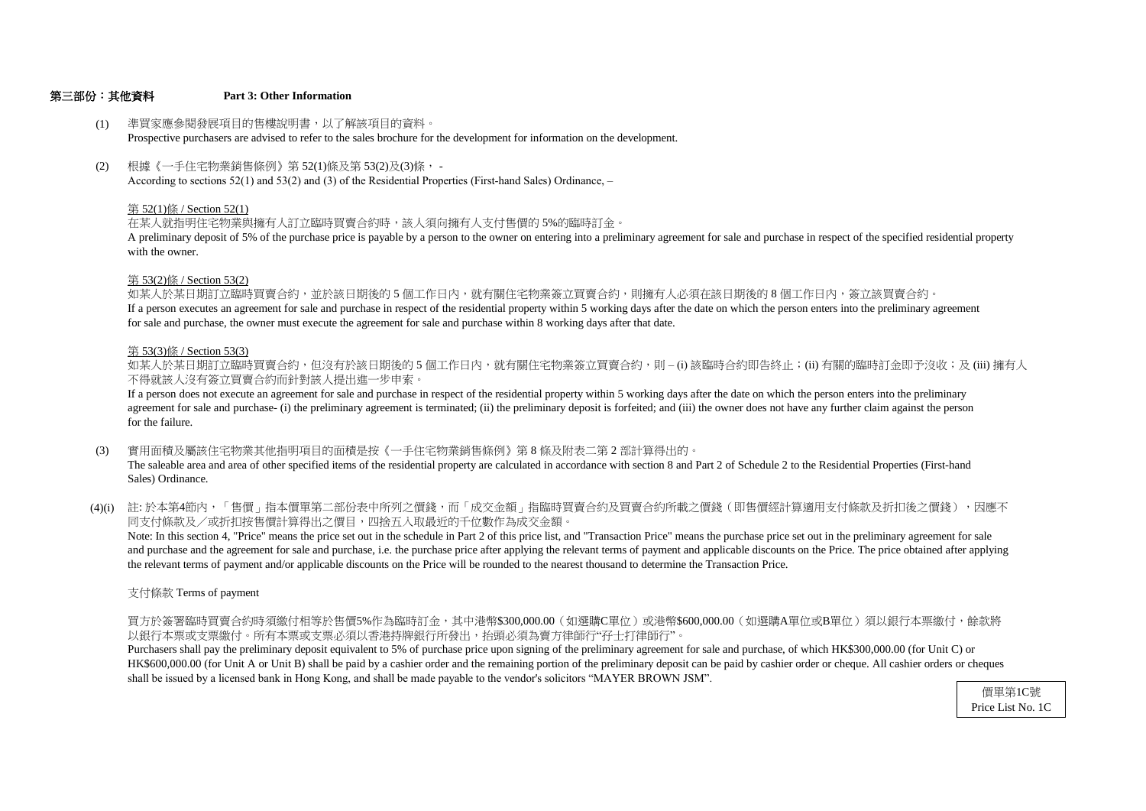#### 第三部份:其他資料 **Part 3: Other Information**

支付條款 Terms of payment

以銀行本票或支票繳付。所有本票或支票必須以香港持牌銀行所發出,抬頭必須為賣方律師行"孖士打律師行"。 買方於簽署臨時買賣合約時須繳付相等於售價5%作為臨時訂金,其中港幣\$300,000.00(如選購C單位)或港幣\$600,000.00(如選購A單位或B單位)須以銀行本票繳付,餘款將

shall be issued by a licensed bank in Hong Kong, and shall be made payable to the vendor's solicitors "MAYER BROWN JSM". HK\$600,000.00 (for Unit A or Unit B) shall be paid by a cashier order and the remaining portion of the preliminary deposit can be paid by cashier order or cheque. All cashier orders or cheques Purchasers shall pay the preliminary deposit equivalent to 5% of purchase price upon signing of the preliminary agreement for sale and purchase, of which HK\$300,000.00 (for Unit C) or

#### 第 53(3)條 / Section 53(3)

- (3) 實用面積及屬該住宅物業其他指明項目的面積是按《一手住宅物業銷售條例》第 8 條及附表二第 2 部計算得出的。 The saleable area and area of other specified items of the residential property are calculated in accordance with section 8 and Part 2 of Schedule 2 to the Residential Properties (First-hand Sales) Ordinance.
- (4)(i) 註:於本第4節內,「售價」指本價單第二部份表中所列之價錢,而「成交金額」指臨時買賣合約及買賣合約所載之價錢(即售價經計算適用支付條款及折扣後之價錢),因應不 同支付條款及/或折扣按售價計算得出之價目,四捨五入取最近的千位數作為成交金額。

不得就該人沒有簽立買賣合約而針對該人提出進一步申索。 如某人於某日期訂立臨時買賣合約,但沒有於該日期後的 5 個工作日内,就有關住宅物業簽立買賣合約,則 – (i) 該臨時合約即告終止;(ii) 有關的臨時訂金即予沒收;及 (iii) 擁有人

for sale and purchase, the owner must execute the agreement for sale and purchase within 8 working days after that date. If a person executes an agreement for sale and purchase in respect of the residential property within 5 working days after the date on which the person enters into the preliminary agreement 如某人於某日期訂立臨時買賣合約,並於該日期後的 5 個工作日內,就有關住宅物業簽立買賣合約,則擁有人必須在該日期後的 8 個工作日内,簽立該買賣合約。

the relevant terms of payment and/or applicable discounts on the Price will be rounded to the nearest thousand to determine the Transaction Price. and purchase and the agreement for sale and purchase, i.e. the purchase price after applying the relevant terms of payment and applicable discounts on the Price. The price obtained after applying Note: In this section 4, "Price" means the price set out in the schedule in Part 2 of this price list, and "Transaction Price" means the purchase price set out in the preliminary agreement for sale

- (1) 準買家應參閱發展項目的售樓說明書,以了解該項目的資料。 Prospective purchasers are advised to refer to the sales brochure for the development for information on the development.
- (2) 根據《一手住宅物業銷售條例》第 52(1)條及第 53(2)及(3)條, - According to sections 52(1) and 53(2) and (3) of the Residential Properties (First-hand Sales) Ordinance, –

for the failure. agreement for sale and purchase- (i) the preliminary agreement is terminated; (ii) the preliminary deposit is forfeited; and (iii) the owner does not have any further claim against the person If a person does not execute an agreement for sale and purchase in respect of the residential property within 5 working days after the date on which the person enters into the preliminary

#### 第 53(2)條 / Section 53(2)

with the owner. A preliminary deposit of 5% of the purchase price is payable by a person to the owner on entering into a preliminary agreement for sale and purchase in respect of the specified residential property

#### 第 52(1)條 / Section 52(1)

在某人就指明住宅物業與擁有人訂立臨時買賣合約時,該人須向擁有人支付售價的 5%的臨時訂金。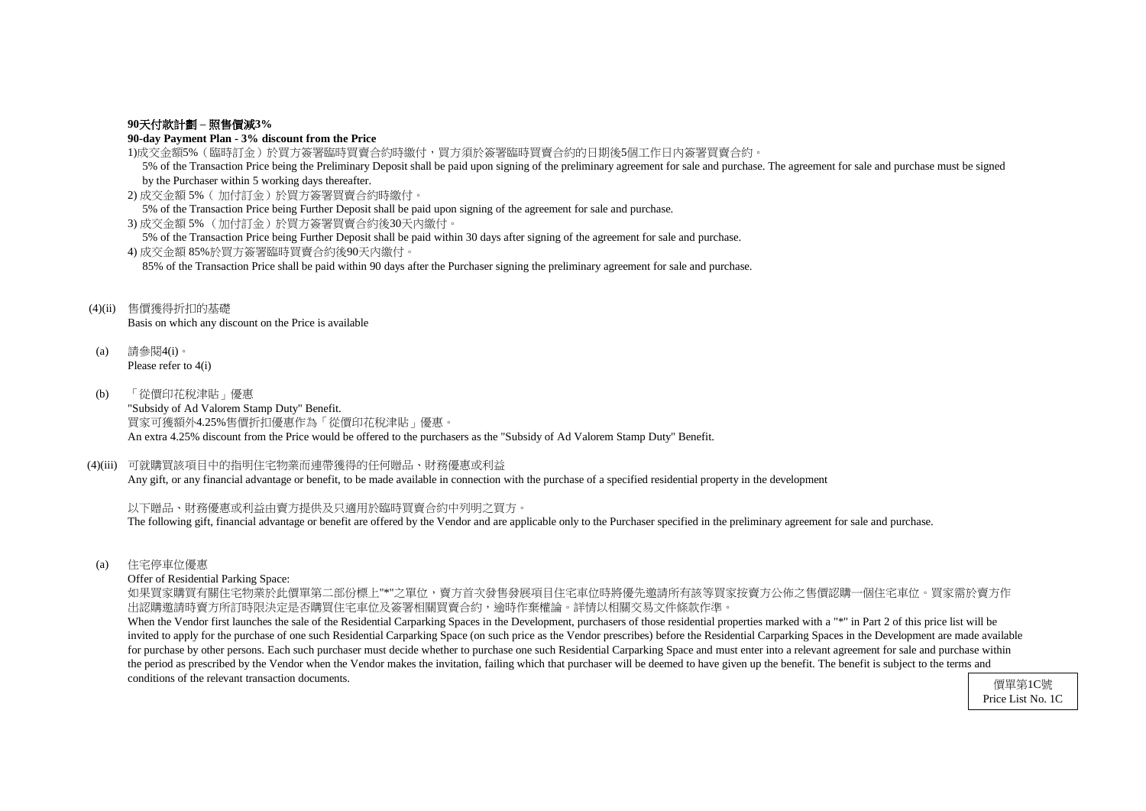#### **90**天付款計劃 **–** 照售價減**3%**

#### **90-day Payment Plan - 3% discount from the Price**

- 1)成交金額5%(臨時訂金)於買方簽署臨時買賣合約時繳付,買方須於簽署臨時買賣合約的日期後5個工作日內簽署買賣合約。 5% of the Transaction Price being the Preliminary Deposit shall be paid upon signing of the preliminary agreement for sale and purchase. The agreement for sale and purchase must be signed by the Purchaser within 5 working days thereafter.
- 2) 成交金額 5%( 加付訂金)於買方簽署買賣合約時繳付。

5% of the Transaction Price being Further Deposit shall be paid upon signing of the agreement for sale and purchase.

3) 成交金額 5% (加付訂金)於買方簽署買賣合約後30天內繳付。

5% of the Transaction Price being Further Deposit shall be paid within 30 days after signing of the agreement for sale and purchase.

4) 成交金額 85%於買方簽署臨時買賣合約後90天內繳付。 85% of the Transaction Price shall be paid within 90 days after the Purchaser signing the preliminary agreement for sale and purchase.

#### (4)(ii) 售價獲得折扣的基礎

Basis on which any discount on the Price is available

如果買家購買有關住宅物業於此價單第二部份標上"\*"之單位,賣方首次發售發展項目住宅車位時將優先邀請所有該等買家按賣方公佈之售價認購一個住宅車位。買家需於賣方作 出認購邀請時賣方所訂時限決定是否購買住宅車位及簽署相關買賣合約,逾時作棄權論。詳情以相關交易文件條款作準。

- (a) 請參閱4(i)。 Please refer to 4(i)
- (b) 「從價印花稅津貼」優惠 "Subsidy of Ad Valorem Stamp Duty" Benefit. 買家可獲額外4.25%售價折扣優惠作為「從價印花稅津貼」優惠。 An extra 4.25% discount from the Price would be offered to the purchasers as the "Subsidy of Ad Valorem Stamp Duty" Benefit.

### (4)(iii) 可就購買該項目中的指明住宅物業而連帶獲得的任何贈品、財務優惠或利益

Any gift, or any financial advantage or benefit, to be made available in connection with the purchase of a specified residential property in the development

When the Vendor first launches the sale of the Residential Carparking Spaces in the Development, purchasers of those residential properties marked with a "\*" in Part 2 of this price list will be invited to apply for the purchase of one such Residential Carparking Space (on such price as the Vendor prescribes) before the Residential Carparking Spaces in the Development are made available for purchase by other persons. Each such purchaser must decide whether to purchase one such Residential Carparking Space and must enter into a relevant agreement for sale and purchase within the period as prescribed by the Vendor when the Vendor makes the invitation, failing which that purchaser will be deemed to have given up the benefit. The benefit is subject to the terms and conditions of the relevant transaction documents.

以下贈品、財務優惠或利益由賣方提供及只適用於臨時買賣合約中列明之買方。 The following gift, financial advantage or benefit are offered by the Vendor and are applicable only to the Purchaser specified in the preliminary agreement for sale and purchase.

(a) 住宅停車位優惠

Offer of Residential Parking Space: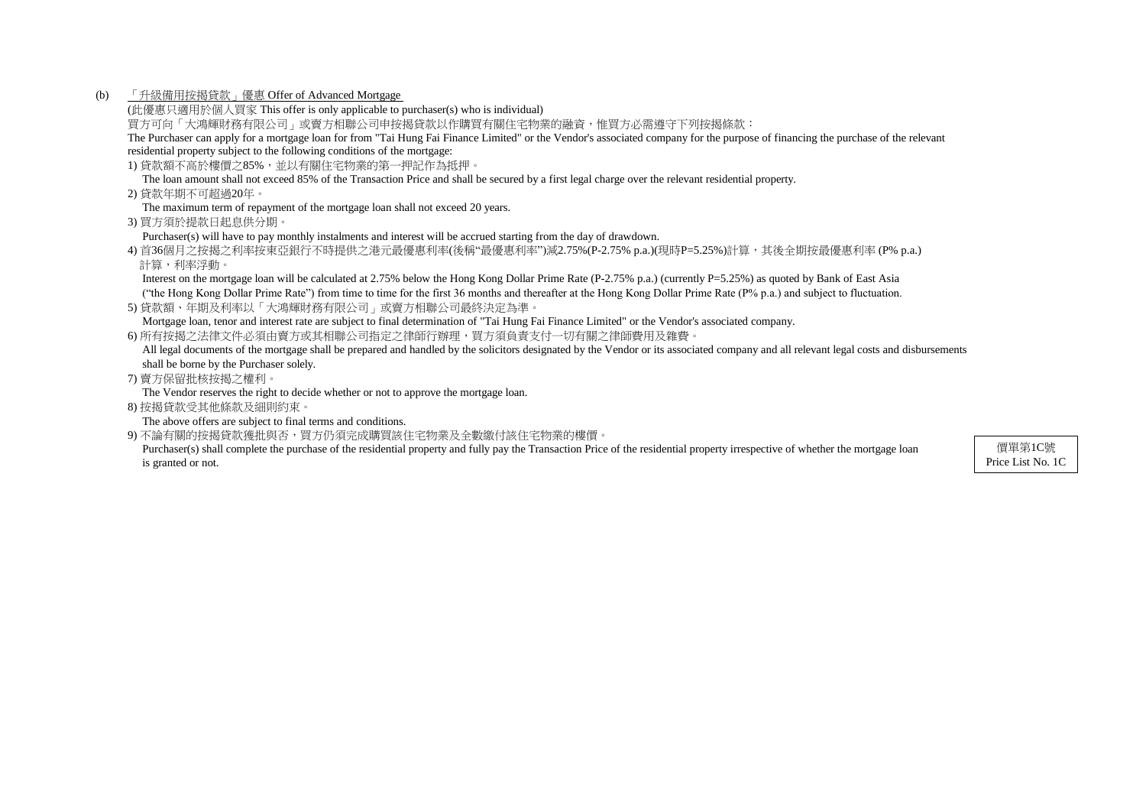(b) 「升級備用按揭貸款」優惠 Offer of Advanced Mortgage

(此優惠只適用於個人買家 This offer is only applicable to purchaser(s) who is individual)

買方可向「大鴻輝財務有限公司」或賣方相聯公司申按揭貸款以作購買有關住宅物業的融資,惟買方必需遵守下列按揭條款:

The Purchaser can apply for a mortgage loan for from "Tai Hung Fai Finance Limited" or the Vendor's associated company for the purpose of financing the purchase of the relevant residential property subject to the following conditions of the mortgage:

1) 貸款額不高於樓價之85%,並以有關住宅物業的第一押記作為抵押。

4) 首36個月之按揭之利率按東亞銀行不時提供之港元最優惠利率(後稱"最優惠利率")減2.75%(P-2.75% p.a.)(現時P=5.25%)計算,其後全期按最優惠利率 (P% p.a.) 計算,利率浮動。

The loan amount shall not exceed 85% of the Transaction Price and shall be secured by a first legal charge over the relevant residential property.

2) 貸款年期不可超過20年。

Interest on the mortgage loan will be calculated at 2.75% below the Hong Kong Dollar Prime Rate (P-2.75% p.a.) (currently P=5.25%) as quoted by Bank of East Asia ("the Hong Kong Dollar Prime Rate") from time to time for the first 36 months and thereafter at the Hong Kong Dollar Prime Rate (P% p.a.) and subject to fluctuation.

The maximum term of repayment of the mortgage loan shall not exceed 20 years.

3) 買方須於提款日起息供分期

Purchaser(s) will have to pay monthly instalments and interest will be accrued starting from the day of drawdown.

All legal documents of the mortgage shall be prepared and handled by the solicitors designated by the Vendor or its associated company and all relevant legal costs and disbursements shall be borne by the Purchaser solely.

Purchaser(s) shall complete the purchase of the residential property and fully pay the Transaction Price of the residential property irrespective of whether the mortgage loan is granted or not.

5) 貸款額、年期及利率以「大鴻輝財務有限公司」或賣方相聯公司最終決定為準。

Mortgage loan, tenor and interest rate are subject to final determination of "Tai Hung Fai Finance Limited" or the Vendor's associated company.

6) 所有按揭之法律文件必須由賣方或其相聯公司指定之律師行辦理,買方須負責支付一切有關之律師費用及雜費。

7) 賣方保留批核按揭之權利。

The Vendor reserves the right to decide whether or not to approve the mortgage loan.

8) 按揭貸款受其他條款及細則約束。

The above offers are subject to final terms and conditions.

9) 不論有關的按揭貸款獲批與否,買方仍須完成購買該住宅物業及全數繳付該住宅物業的樓價。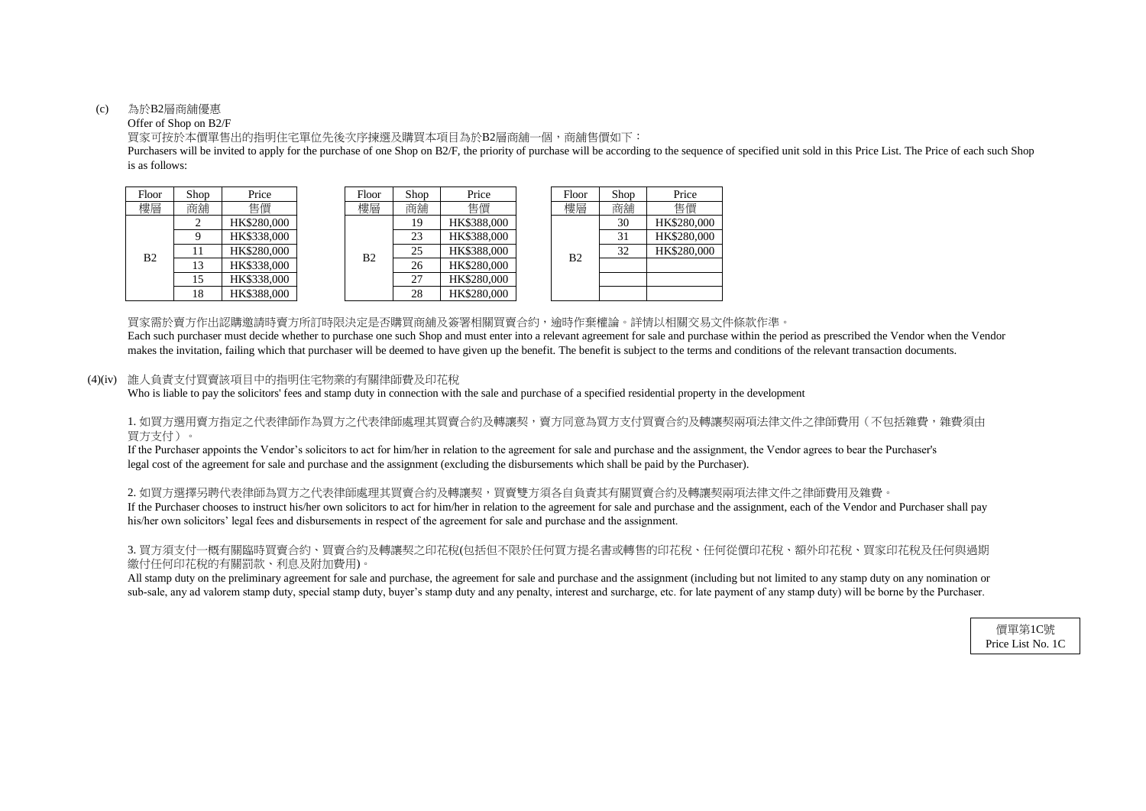#### (c) 為於B2層商舖優惠

#### Offer of Shop on B2/F

is as follows: Purchasers will be invited to apply for the purchase of one Shop on B2/F, the priority of purchase will be according to the sequence of specified unit sold in this Price List. The Price of each such Shop

買家可按於本價單售出的指明住宅單位先後次序揀選及購買本項目為於B2層商舖一個,商舖售價如下:

| hop            | Price       |  | Floor | Shop | Price       |                | Floor | Shop | Price       |
|----------------|-------------|--|-------|------|-------------|----------------|-------|------|-------------|
| 角铺             | 售價          |  | 樓層    | 商舖   | 售價          |                | 樓層    | 商舖   | 售價          |
| $\overline{2}$ | HK\$280,000 |  |       | 19   | HK\$388,000 |                |       | 30   | HK\$280,000 |
| 9              | HK\$338,000 |  |       | 23   | HK\$388,000 |                |       | 31   | HK\$280,000 |
| 11             | HK\$280,000 |  | B2    | 25   | HK\$388,000 | B <sub>2</sub> |       | 32   | HK\$280,000 |
| 13             | HK\$338,000 |  |       | 26   | HK\$280,000 |                |       |      |             |
| 15             | HK\$338,000 |  |       | 27   | HK\$280,000 |                |       |      |             |
| 18             | HK\$388,000 |  |       | 28   | HK\$280,000 |                |       |      |             |

| Floor          | Shop | Price       |
|----------------|------|-------------|
| 建區             | 商舖   | 售價          |
|                | 30   | HK\$280,000 |
|                | 31   | HK\$280,000 |
| B <sub>2</sub> | 32   | HK\$280,000 |
|                |      |             |
|                |      |             |
|                |      |             |

買家需於賣方作出認購邀請時賣方所訂時限決定是否購買商舖及簽署相關買賣合約,逾時作棄權論。詳情以相關交易文件條款作準。

1. 如買方選用賣方指定之代表律師作為買方之代表律師處理其買賣合約及轉讓契,賣方同意為買方支付買賣合約及轉讓契兩項法律文件之律師費用(不包括雜費,雜費須由 買方支付)。

#### (4)(iv) 誰人負責支付買賣該項目中的指明住宅物業的有關律師費及印花稅

Who is liable to pay the solicitors' fees and stamp duty in connection with the sale and purchase of a specified residential property in the development

2. 如買方選擇另聘代表律師為買方之代表律師處理其買賣合約及轉讓契,買賣雙方須各自負責其有關買賣合約及轉讓契兩項法律文件之律師費用及雜費。 If the Purchaser chooses to instruct his/her own solicitors to act for him/her in relation to the agreement for sale and purchase and the assignment, each of the Vendor and Purchaser shall pay his/her own solicitors' legal fees and disbursements in respect of the agreement for sale and purchase and the assignment.

### 3. 買方須支付一概有關臨時買賣合約、買賣合約及轉讓契之印花稅(包括但不限於任何買方提名書或轉售的印花稅、任何從價印花稅、額外印花稅、買家印花稅及任何與過期 繳付任何印花稅的有關罰款、利息及附加費用)。

All stamp duty on the preliminary agreement for sale and purchase, the agreement for sale and purchase and the assignment (including but not limited to any stamp duty on any nomination or sub-sale, any ad valorem stamp duty, special stamp duty, buyer's stamp duty and any penalty, interest and surcharge, etc. for late payment of any stamp duty) will be borne by the Purchaser.

| Floor | Shop | Price       |  | Floor | Shop | Price       |    | Floor       | Shop | Price          |    |          |
|-------|------|-------------|--|-------|------|-------------|----|-------------|------|----------------|----|----------|
| 樓層    | 商舖   | 售價          |  | 樓層    | 商舖   | 售價          |    | 樓層          | 商舖   | 售價             |    |          |
|       |      | HK\$280,000 |  |       | 19   | HK\$388,000 |    |             | 30   | HK\$280,       |    |          |
|       |      | HK\$338,000 |  | B2    | 23   | HK\$388,000 |    |             | 31   | HK\$280,       |    |          |
| B2    |      | HK\$280,000 |  |       |      |             | 25 | HK\$388,000 |      | B <sub>2</sub> | 32 | HK\$280. |
|       | 13   | HK\$338,000 |  |       |      |             | 26 | HK\$280,000 |      |                |    |          |
|       | 15   | HK\$338,000 |  |       | 27   | HK\$280,000 |    |             |      |                |    |          |
|       |      | HK\$388,000 |  |       | 28   | HK\$280,000 |    |             |      |                |    |          |

makes the invitation, failing which that purchaser will be deemed to have given up the benefit. The benefit is subject to the terms and conditions of the relevant transaction documents. Each such purchaser must decide whether to purchase one such Shop and must enter into a relevant agreement for sale and purchase within the period as prescribed the Vendor when the Vendor

legal cost of the agreement for sale and purchase and the assignment (excluding the disbursements which shall be paid by the Purchaser). If the Purchaser appoints the Vendor's solicitors to act for him/her in relation to the agreement for sale and purchase and the assignment, the Vendor agrees to bear the Purchaser's